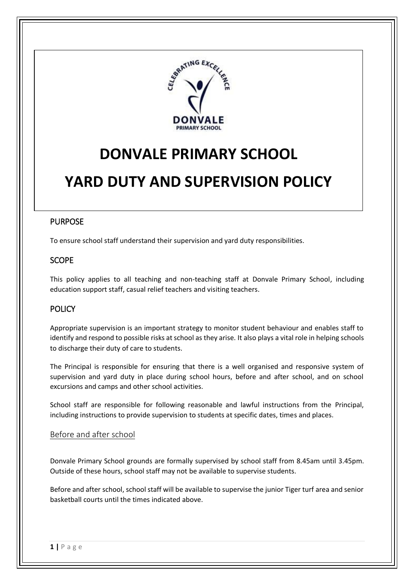

# **DONVALE PRIMARY SCHOOL**

# **YARD DUTY AND SUPERVISION POLICY**

# PURPOSE

To ensure school staff understand their supervision and yard duty responsibilities.

# **SCOPE**

This policy applies to all teaching and non-teaching staff at Donvale Primary School, including education support staff, casual relief teachers and visiting teachers.

# **POLICY**

Appropriate supervision is an important strategy to monitor student behaviour and enables staff to identify and respond to possible risks at school as they arise. It also plays a vital role in helping schools to discharge their duty of care to students.

The Principal is responsible for ensuring that there is a well organised and responsive system of supervision and yard duty in place during school hours, before and after school, and on school excursions and camps and other school activities.

School staff are responsible for following reasonable and lawful instructions from the Principal, including instructions to provide supervision to students at specific dates, times and places.

## Before and after school

Donvale Primary School grounds are formally supervised by school staff from 8.45am until 3.45pm. Outside of these hours, school staff may not be available to supervise students.

Before and after school, school staff will be available to supervise the junior Tiger turf area and senior basketball courts until the times indicated above.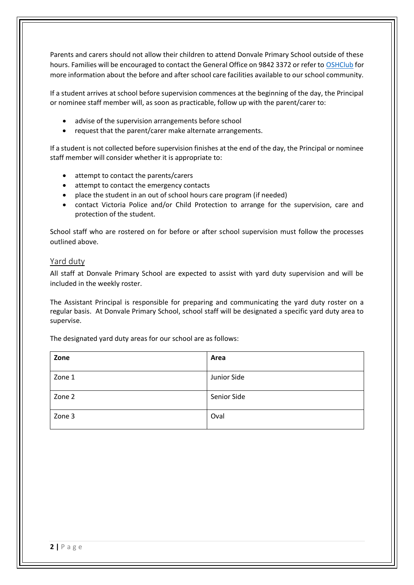Parents and carers should not allow their children to attend Donvale Primary School outside of these hours. Families will be encouraged to contact the General Office on 9842 3372 or refer to [OSHClub](https://www.oshclub.com.au/) for more information about the before and after school care facilities available to our school community.

If a student arrives at school before supervision commences at the beginning of the day, the Principal or nominee staff member will, as soon as practicable, follow up with the parent/carer to:

- advise of the supervision arrangements before school
- request that the parent/carer make alternate arrangements.

If a student is not collected before supervision finishes at the end of the day, the Principal or nominee staff member will consider whether it is appropriate to:

- attempt to contact the parents/carers
- attempt to contact the emergency contacts
- place the student in an out of school hours care program (if needed)
- contact Victoria Police and/or Child Protection to arrange for the supervision, care and protection of the student.

School staff who are rostered on for before or after school supervision must follow the processes outlined above.

### Yard duty

All staff at Donvale Primary School are expected to assist with yard duty supervision and will be included in the weekly roster.

The Assistant Principal is responsible for preparing and communicating the yard duty roster on a regular basis. At Donvale Primary School, school staff will be designated a specific yard duty area to supervise.

The designated yard duty areas for our school are as follows:

| Zone   | Area        |
|--------|-------------|
| Zone 1 | Junior Side |
| Zone 2 | Senior Side |
| Zone 3 | Oval        |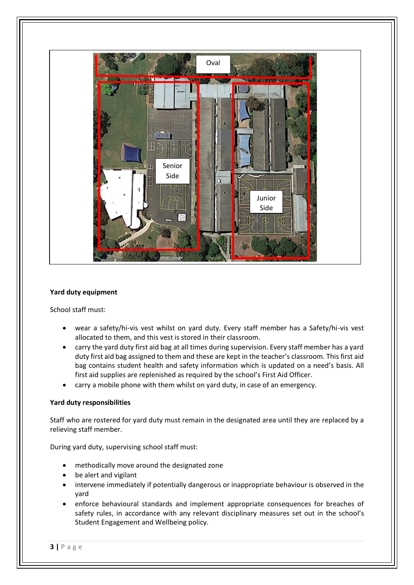

### **Yard duty equipment**

School staff must:

- wear a safety/hi-vis vest whilst on yard duty. Every staff member has a Safety/hi-vis vest allocated to them, and this vest is stored in their classroom.
- carry the yard duty first aid bag at all times during supervision. Every staff member has a yard duty first aid bag assigned to them and these are kept in the teacher's classroom. This first aid bag contains student health and safety information which is updated on a need's basis. All first aid supplies are replenished as required by the school's First Aid Officer.
- carry a mobile phone with them whilst on yard duty, in case of an emergency.

#### **Yard duty responsibilities**

Staff who are rostered for yard duty must remain in the designated area until they are replaced by a relieving staff member.

During yard duty, supervising school staff must:

- methodically move around the designated zone
- be alert and vigilant
- intervene immediately if potentially dangerous or inappropriate behaviour is observed in the yard
- enforce behavioural standards and implement appropriate consequences for breaches of safety rules, in accordance with any relevant disciplinary measures set out in the school's Student Engagement and Wellbeing policy.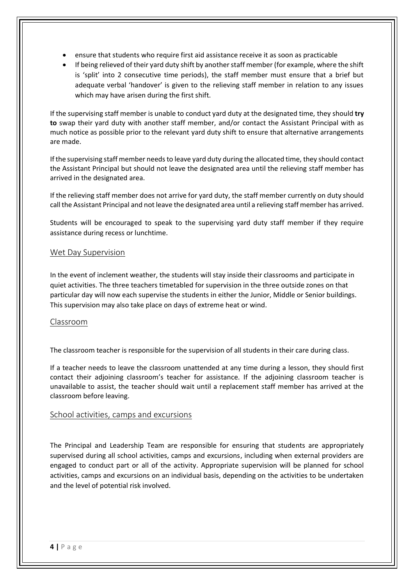- ensure that students who require first aid assistance receive it as soon as practicable
- If being relieved of their yard duty shift by another staff member (for example, where the shift is 'split' into 2 consecutive time periods), the staff member must ensure that a brief but adequate verbal 'handover' is given to the relieving staff member in relation to any issues which may have arisen during the first shift.

If the supervising staff member is unable to conduct yard duty at the designated time, they should **try to** swap their yard duty with another staff member, and/or contact the Assistant Principal with as much notice as possible prior to the relevant yard duty shift to ensure that alternative arrangements are made.

If the supervising staff member needs to leave yard duty during the allocated time, they should contact the Assistant Principal but should not leave the designated area until the relieving staff member has arrived in the designated area.

If the relieving staff member does not arrive for yard duty, the staff member currently on duty should call the Assistant Principal and not leave the designated area until a relieving staff member has arrived.

Students will be encouraged to speak to the supervising yard duty staff member if they require assistance during recess or lunchtime.

## Wet Day Supervision

In the event of inclement weather, the students will stay inside their classrooms and participate in quiet activities. The three teachers timetabled for supervision in the three outside zones on that particular day will now each supervise the students in either the Junior, Middle or Senior buildings. This supervision may also take place on days of extreme heat or wind.

#### Classroom

The classroom teacher is responsible for the supervision of all students in their care during class.

If a teacher needs to leave the classroom unattended at any time during a lesson, they should first contact their adjoining classroom's teacher for assistance. If the adjoining classroom teacher is unavailable to assist, the teacher should wait until a replacement staff member has arrived at the classroom before leaving.

#### School activities, camps and excursions

The Principal and Leadership Team are responsible for ensuring that students are appropriately supervised during all school activities, camps and excursions, including when external providers are engaged to conduct part or all of the activity. Appropriate supervision will be planned for school activities, camps and excursions on an individual basis, depending on the activities to be undertaken and the level of potential risk involved.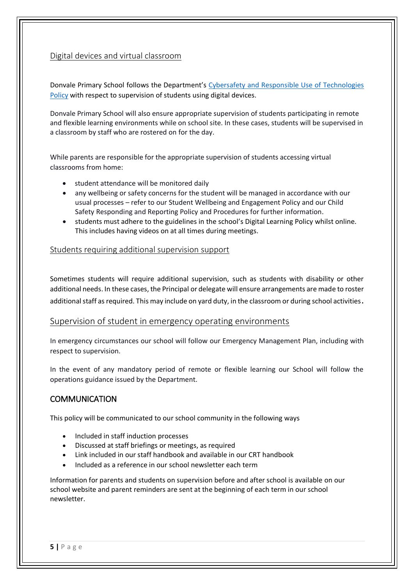## Digital devices and virtual classroom

Donvale Primary School follows the Department's [Cybersafety and Responsible Use of Technologies](https://www2.education.vic.gov.au/pal/cybersafety/policy)  [Policy](https://www2.education.vic.gov.au/pal/cybersafety/policy) with respect to supervision of students using digital devices.

Donvale Primary School will also ensure appropriate supervision of students participating in remote and flexible learning environments while on school site. In these cases, students will be supervised in a classroom by staff who are rostered on for the day.

While parents are responsible for the appropriate supervision of students accessing virtual classrooms from home:

- student attendance will be monitored daily
- any wellbeing or safety concerns for the student will be managed in accordance with our usual processes – refer to our Student Wellbeing and Engagement Policy and our Child Safety Responding and Reporting Policy and Procedures for further information.
- students must adhere to the guidelines in the school's Digital Learning Policy whilst online. This includes having videos on at all times during meetings.

## Students requiring additional supervision support

Sometimes students will require additional supervision, such as students with disability or other additional needs. In these cases, the Principal or delegate will ensure arrangements are made to roster additional staff as required. This may include on yard duty, in the classroom or during school activities.

#### Supervision of student in emergency operating environments

In emergency circumstances our school will follow our Emergency Management Plan, including with respect to supervision.

In the event of any mandatory period of remote or flexible learning our School will follow the operations guidance issued by the Department.

## **COMMUNICATION**

This policy will be communicated to our school community in the following ways

- Included in staff induction processes
- Discussed at staff briefings or meetings, as required
- Link included in our staff handbook and available in our CRT handbook
- Included as a reference in our school newsletter each term

Information for parents and students on supervision before and after school is available on our school website and parent reminders are sent at the beginning of each term in our school newsletter.